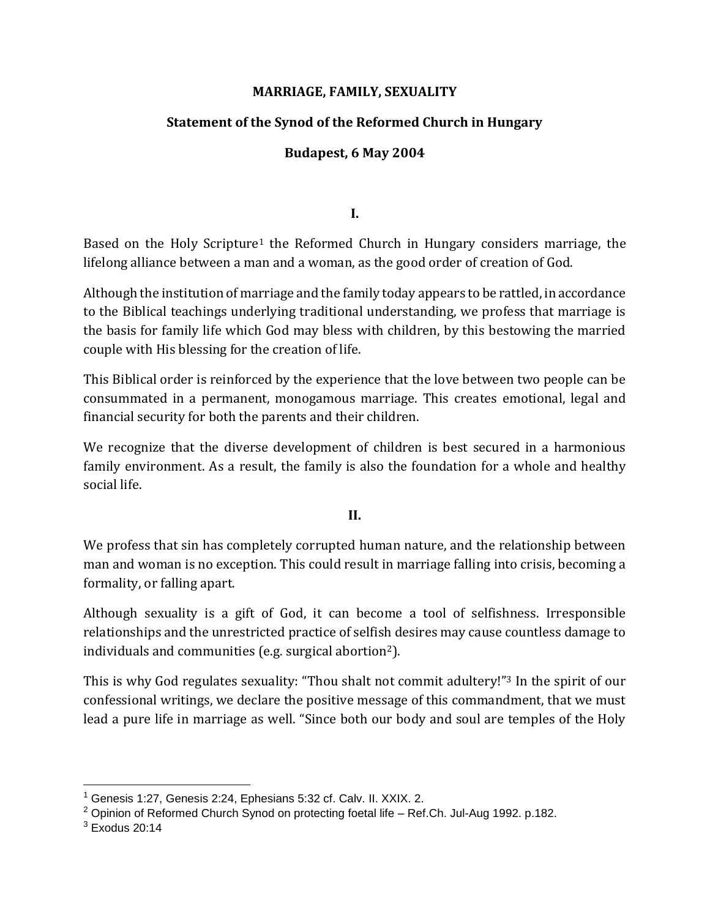### **MARRIAGE, FAMILY, SEXUALITY**

# **Statement of the Synod of the Reformed Church in Hungary**

# **Budapest, 6 May 2004**

**I.**

Based on the Holy Scripture<sup>1</sup> the Reformed Church in Hungary considers marriage, the lifelong alliance between a man and a woman, as the good order of creation of God.

Although the institution of marriage and the family today appears to be rattled, in accordance to the Biblical teachings underlying traditional understanding, we profess that marriage is the basis for family life which God may bless with children, by this bestowing the married couple with His blessing for the creation of life.

This Biblical order is reinforced by the experience that the love between two people can be consummated in a permanent, monogamous marriage. This creates emotional, legal and financial security for both the parents and their children.

We recognize that the diverse development of children is best secured in a harmonious family environment. As a result, the family is also the foundation for a whole and healthy social life.

**II.**

We profess that sin has completely corrupted human nature, and the relationship between man and woman is no exception. This could result in marriage falling into crisis, becoming a formality, or falling apart.

Although sexuality is a gift of God, it can become a tool of selfishness. Irresponsible relationships and the unrestricted practice of selfish desires may cause countless damage to individuals and communities (e.g. surgical abortion2).

This is why God regulates sexuality: "Thou shalt not commit adultery!"<sup>3</sup> In the spirit of our confessional writings, we declare the positive message of this commandment, that we must lead a pure life in marriage as well. "Since both our body and soul are temples of the Holy

<sup>1</sup> Genesis 1:27, Genesis 2:24, Ephesians 5:32 cf. Calv. II. XXIX. 2.

<sup>2</sup> Opinion of Reformed Church Synod on protecting foetal life – Ref.Ch. Jul-Aug 1992. p.182.

 $3$  Exodus 20:14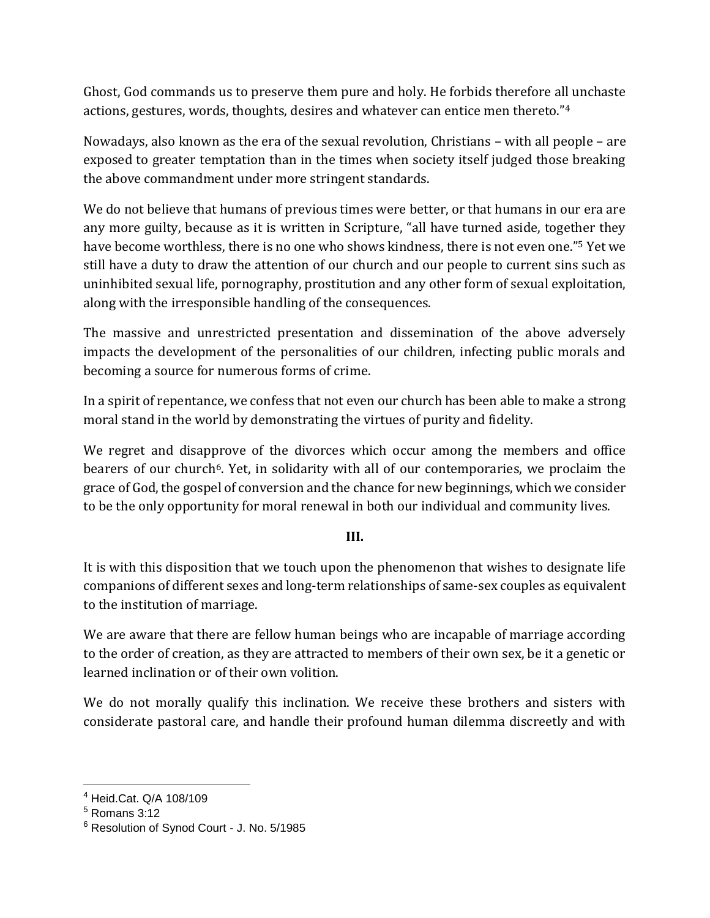Ghost, God commands us to preserve them pure and holy. He forbids therefore all unchaste actions, gestures, words, thoughts, desires and whatever can entice men thereto."<sup>4</sup>

Nowadays, also known as the era of the sexual revolution, Christians – with all people – are exposed to greater temptation than in the times when society itself judged those breaking the above commandment under more stringent standards.

We do not believe that humans of previous times were better, or that humans in our era are any more guilty, because as it is written in Scripture, "all have turned aside, together they have become worthless, there is no one who shows kindness, there is not even one."<sup>5</sup> Yet we still have a duty to draw the attention of our church and our people to current sins such as uninhibited sexual life, pornography, prostitution and any other form of sexual exploitation, along with the irresponsible handling of the consequences.

The massive and unrestricted presentation and dissemination of the above adversely impacts the development of the personalities of our children, infecting public morals and becoming a source for numerous forms of crime.

In a spirit of repentance, we confess that not even our church has been able to make a strong moral stand in the world by demonstrating the virtues of purity and fidelity.

We regret and disapprove of the divorces which occur among the members and office bearers of our church<sup>6</sup>. Yet, in solidarity with all of our contemporaries, we proclaim the grace of God, the gospel of conversion and the chance for new beginnings, which we consider to be the only opportunity for moral renewal in both our individual and community lives.

### **III.**

It is with this disposition that we touch upon the phenomenon that wishes to designate life companions of different sexes and long-term relationships of same-sex couples as equivalent to the institution of marriage.

We are aware that there are fellow human beings who are incapable of marriage according to the order of creation, as they are attracted to members of their own sex, be it a genetic or learned inclination or of their own volition.

We do not morally qualify this inclination. We receive these brothers and sisters with considerate pastoral care, and handle their profound human dilemma discreetly and with

<sup>4</sup> Heid.Cat. Q/A 108/109

 $<sup>5</sup>$  Romans 3:12</sup>

<sup>6</sup> Resolution of Synod Court - J. No. 5/1985